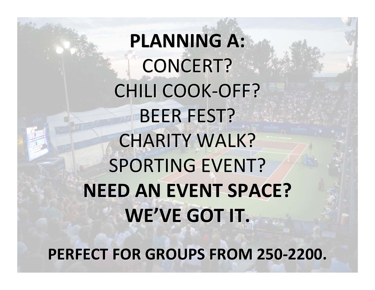**PLANNING'A: PLANNING'A:** CONCERT? CHILI COOK-OFF? BEER FEST? CHARITY WALK? SPORTING EVENT? **NEED AN EVENT SPACE? WE'VE GOT IT.** 

PERFECT FOR GROUPS FROM 250-2200.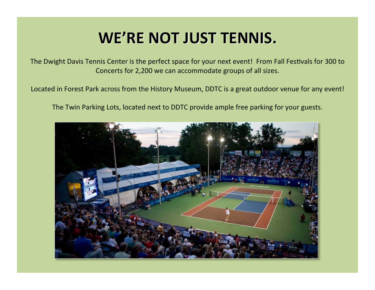# **WE'RE NOT JUST TENNIS.**

The Dwight Davis Tennis Center is the perfect space for your next event! From Fall Festivals for 300 to Concerts for 2,200 we can accommodate groups of all sizes.

Located in Forest Park across from the History Museum, DDTC is a great outdoor venue for any event!

The Twin Parking Lots, located next to DDTC provide ample free parking for your guests.

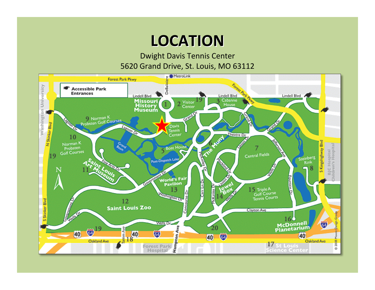# **LOCATION LOCATION**

Dwight Davis Tennis Center 5620 Grand Drive, St. Louis, MO 63112

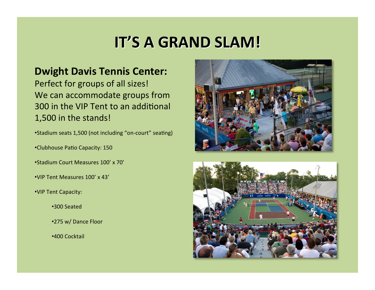## **IT'S A GRAND SLAM!**

#### **Dwight Davis Tennis Center:**

Perfect for groups of all sizes! We can accommodate groups from 300 in the VIP Tent to an additional 1,500 in the stands!

•Stadium seats 1,500 (not including "on-court" seating)

•Clubhouse Patio Capacity: 150

•Stadium Court Measures 100' x 70'

•VIP Tent Measures 100' x 43'

•VIP Tent Capacity:

- •300 Seated
- •275 w/ Dance Floor

•400 Cocktail



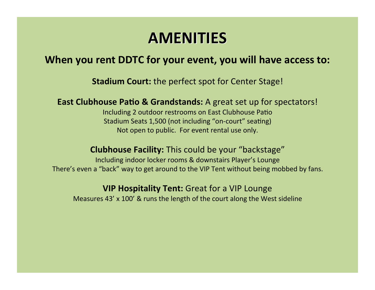## **AMENITIES AMENITIES**

#### When you rent DDTC for your event, you will have access to:

**Stadium Court:** the perfect spot for Center Stage!

**East Clubhouse Patio & Grandstands:** A great set up for spectators!

Including 2 outdoor restrooms on East Clubhouse Patio Stadium Seats 1,500 (not including "on-court" seating) Not open to public. For event rental use only.

**Clubhouse Facility:** This could be your "backstage"

Including indoor locker rooms & downstairs Player's Lounge There's even a "back" way to get around to the VIP Tent without being mobbed by fans.

**VIP Hospitality Tent:** Great for a VIP Lounge Measures  $43'$  x  $100'$  & runs the length of the court along the West sideline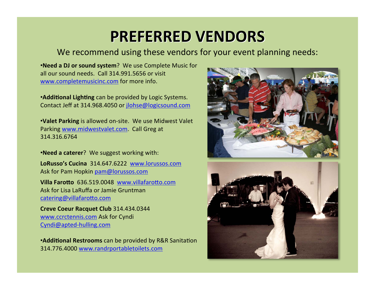## **PREFERRED'VENDORS PREFERRED'VENDORS**

We recommend using these vendors for your event planning needs:

•**Need a DJ or sound system**? We use Complete Music for all our sound needs. Call 314.991.5656 or visit www.completemusicinc.com for more info.

•**Additional Lighting** can be provided by Logic Systems. Contact Jeff at 314.968.4050 or jlohse@logicsound.com

•Valet Parking is allowed on-site. We use Midwest Valet Parking www.midwestvalet.com. Call Greg at 314.316.6764

•**Need a caterer**? We suggest working with:

LoRusso's Cucina 314.647.6222 www.lorussos.com Ask for Pam Hopkin pam@lorussos.com

Villa Farotto 636.519.0048 www.villafarotto.com Ask for Lisa LaRuffa or Jamie Gruntman catering@villafarotto.com

Creve Coeur Racquet Club 314.434.0344 www.ccrctennis.com Ask for Cyndi Cyndi@apted-hulling.com

•**Additional Restrooms** can be provided by R&R Sanitation 314.776.4000 www.randrportabletoilets.com

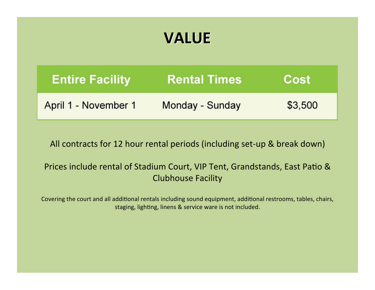#### **VALUE**

| <b>Entire Facility</b> | <b>Rental Times</b> | <b>Cost</b> |
|------------------------|---------------------|-------------|
| April 1 - November 1   | Monday - Sunday     | \$3,500     |

#### All contracts for 12 hour rental periods (including set-up & break down)

#### Prices include rental of Stadium Court, VIP Tent, Grandstands, East Patio & **Clubhouse Facility**

Covering the court and all additional rentals including sound equipment, additional restrooms, tables, chairs, staging, lighting, linens & service ware is not included.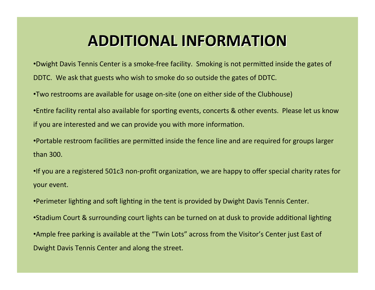### **ADDITIONAL INFORMATION**

•Dwight Davis Tennis Center is a smoke-free facility. Smoking is not permitted inside the gates of DDTC. We ask that guests who wish to smoke do so outside the gates of DDTC.

•Two restrooms are available for usage on-site (one on either side of the Clubhouse)

•Entire facility rental also available for sporting events, concerts & other events. Please let us know if you are interested and we can provide you with more information.

•Portable restroom facilities are permitted inside the fence line and are required for groups larger than+300.

•If you are a registered 501c3 non-profit organization, we are happy to offer special charity rates for your event.

•Perimeter lighting and soft lighting in the tent is provided by Dwight Davis Tennis Center.

•Stadium Court & surrounding court lights can be turned on at dusk to provide additional lighting •Ample free parking is available at the "Twin Lots" across from the Visitor's Center just East of Dwight Davis Tennis Center and along the street.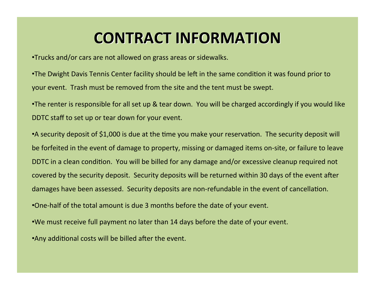# **CONTRACT'INFORMATION CONTRACT'INFORMATION**

•Trucks and/or cars are not allowed on grass areas or sidewalks.

•The Dwight Davis Tennis Center facility should be left in the same condition it was found prior to your event. Trash must be removed from the site and the tent must be swept.

•The renter is responsible for all set up & tear down. You will be charged accordingly if you would like DDTC staff to set up or tear down for your event.

•A security deposit of \$1,000 is due at the time you make your reservation. The security deposit will be forfeited in the event of damage to property, missing or damaged items on-site, or failure to leave DDTC in a clean condition. You will be billed for any damage and/or excessive cleanup required not covered by the security deposit. Security deposits will be returned within 30 days of the event after damages have been assessed. Security deposits are non-refundable in the event of cancellation.

•One-half of the total amount is due 3 months before the date of your event.

•We must receive full payment no later than 14 days before the date of your event.

•Any additional costs will be billed after the event.